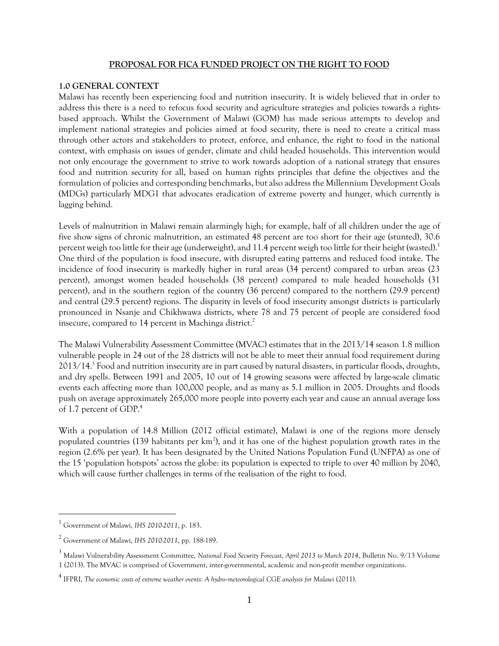#### **PROPOSAL FOR FICA FUNDED PROJECT ON THE RIGHT TO FOOD**

#### **1.0 GENERAL CONTEXT**

Malawi has recently been experiencing food and nutrition insecurity. It is widely believed that in order to address this there is a need to refocus food security and agriculture strategies and policies towards a rightsbased approach. Whilst the Government of Malawi (GOM) has made serious attempts to develop and implement national strategies and policies aimed at food security, there is need to create a critical mass through other actors and stakeholders to protect, enforce, and enhance, the right to food in the national context, with emphasis on issues of gender, climate and child headed households. This intervention would not only encourage the government to strive to work towards adoption of a national strategy that ensures food and nutrition security for all, based on human rights principles that define the objectives and the formulation of policies and corresponding benchmarks, but also address the Millennium Development Goals (MDGs) particularly MDG1 that advocates eradication of extreme poverty and hunger, which currently is lagging behind.

Levels of malnutrition in Malawi remain alarmingly high; for example, half of all children under the age of five show signs of chronic malnutrition, an estimated 48 percent are too short for their age (stunted), 30.6 percent weigh too little for their age (underweight), and 11.4 percent weigh too little for their height (wasted).<sup>1</sup> One third of the population is food insecure, with disrupted eating patterns and reduced food intake. The incidence of food insecurity is markedly higher in rural areas (34 percent) compared to urban areas (23 percent), amongst women headed households (38 percent) compared to male headed households (31 percent), and in the southern region of the country (36 percent) compared to the northern (29.9 percent) and central (29.5 percent) regions. The disparity in levels of food insecurity amongst districts is particularly pronounced in Nsanje and Chikhwawa districts, where 78 and 75 percent of people are considered food insecure, compared to 14 percent in Machinga district.<sup>2</sup>

The Malawi Vulnerability Assessment Committee (MVAC) estimates that in the 2013/14 season 1.8 million vulnerable people in 24 out of the 28 districts will not be able to meet their annual food requirement during 2013/14.<sup>3</sup> Food and nutrition insecurity are in part caused by natural disasters, in particular floods, droughts, and dry spells. Between 1991 and 2005, 10 out of 14 growing seasons were affected by large-scale climatic events each affecting more than 100,000 people, and as many as 5.1 million in 2005. Droughts and floods push on average approximately 265,000 more people into poverty each year and cause an annual average loss of 1.7 percent of GDP.<sup>4</sup>

With a population of 14.8 Million (2012 official estimate), Malawi is one of the regions more densely populated countries (139 habitants per  $km^2$ ), and it has one of the highest population growth rates in the region (2.6% per year). It has been designated by the United Nations Population Fund (UNFPA) as one of the 15 'population hotspots' across the globe: its population is expected to triple to over 40 million by 2040, which will cause further challenges in terms of the realisation of the right to food.

<sup>1</sup> Government of Malawi, *IHS 2010-2011*, p. 183.

<sup>2</sup> Government of Malawi, *IHS 2010-2011*, pp. 188-189.

<sup>3</sup> Malawi Vulnerability Assessment Committee, *National Food Security Forecast, April 2013 to March 2014*, Bulletin No. 9/13 Volume 1 (2013). The MVAC is comprised of Government, inter-governmental, academic and non-profit member organizations.

<sup>4</sup> IFPRI, *The economic costs of extreme weather events: A hydro‐meteorological CGE analysis for Malawi* (2011).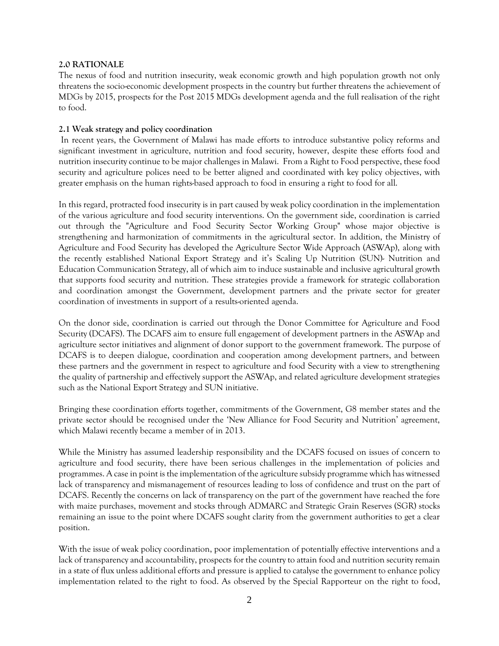### **2.0 RATIONALE**

The nexus of food and nutrition insecurity, weak economic growth and high population growth not only threatens the socio-economic development prospects in the country but further threatens the achievement of MDGs by 2015, prospects for the Post 2015 MDGs development agenda and the full realisation of the right to food.

### **2.1 Weak strategy and policy coordination**

In recent years, the Government of Malawi has made efforts to introduce substantive policy reforms and significant investment in agriculture, nutrition and food security, however, despite these efforts food and nutrition insecurity continue to be major challenges in Malawi. From a Right to Food perspective, these food security and agriculture polices need to be better aligned and coordinated with key policy objectives, with greater emphasis on the human rights-based approach to food in ensuring a right to food for all.

In this regard, protracted food insecurity is in part caused by weak policy coordination in the implementation of the various agriculture and food security interventions. On the government side, coordination is carried out through the "Agriculture and Food Security Sector Working Group" whose major objective is strengthening and harmonization of commitments in the agricultural sector. In addition, the Ministry of Agriculture and Food Security has developed the Agriculture Sector Wide Approach (ASWAp), along with the recently established National Export Strategy and it's Scaling Up Nutrition (SUN)- Nutrition and Education Communication Strategy, all of which aim to induce sustainable and inclusive agricultural growth that supports food security and nutrition. These strategies provide a framework for strategic collaboration and coordination amongst the Government, development partners and the private sector for greater coordination of investments in support of a results-oriented agenda.

On the donor side, coordination is carried out through the Donor Committee for Agriculture and Food Security (DCAFS). The DCAFS aim to ensure full engagement of development partners in the ASWAp and agriculture sector initiatives and alignment of donor support to the government framework. The purpose of DCAFS is to deepen dialogue, coordination and cooperation among development partners, and between these partners and the government in respect to agriculture and food Security with a view to strengthening the quality of partnership and effectively support the ASWAp, and related agriculture development strategies such as the National Export Strategy and SUN initiative.

Bringing these coordination efforts together, commitments of the Government, G8 member states and the private sector should be recognised under the 'New Alliance for Food Security and Nutrition' agreement, which Malawi recently became a member of in 2013.

While the Ministry has assumed leadership responsibility and the DCAFS focused on issues of concern to agriculture and food security, there have been serious challenges in the implementation of policies and programmes. A case in point is the implementation of the agriculture subsidy programme which has witnessed lack of transparency and mismanagement of resources leading to loss of confidence and trust on the part of DCAFS. Recently the concerns on lack of transparency on the part of the government have reached the fore with maize purchases, movement and stocks through ADMARC and Strategic Grain Reserves (SGR) stocks remaining an issue to the point where DCAFS sought clarity from the government authorities to get a clear position.

With the issue of weak policy coordination, poor implementation of potentially effective interventions and a lack of transparency and accountability, prospects for the country to attain food and nutrition security remain in a state of flux unless additional efforts and pressure is applied to catalyse the government to enhance policy implementation related to the right to food. As observed by the Special Rapporteur on the right to food,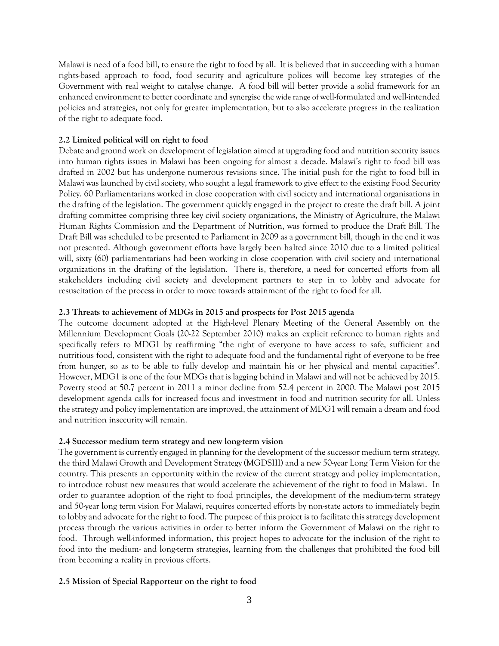Malawi is need of a food bill, to ensure the right to food by all. It is believed that in succeeding with a human rights-based approach to food, food security and agriculture polices will become key strategies of the Government with real weight to catalyse change. A food bill will better provide a solid framework for an enhanced environment to better coordinate and synergise the wide range of well-formulated and well-intended policies and strategies, not only for greater implementation, but to also accelerate progress in the realization of the right to adequate food.

## **2.2 Limited political will on right to food**

Debate and ground work on development of legislation aimed at upgrading food and nutrition security issues into human rights issues in Malawi has been ongoing for almost a decade. Malawi's right to food bill was drafted in 2002 but has undergone numerous revisions since. The initial push for the right to food bill in Malawi was launched by civil society, who sought a legal framework to give effect to the existing Food Security Policy. 60 Parliamentarians worked in close cooperation with civil society and international organisations in the drafting of the legislation. The government quickly engaged in the project to create the draft bill. A joint drafting committee comprising three key civil society organizations, the Ministry of Agriculture, the Malawi Human Rights Commission and the Department of Nutrition, was formed to produce the Draft Bill. The Draft Bill was scheduled to be presented to Parliament in 2009 as a government bill, though in the end it was not presented. Although government efforts have largely been halted since 2010 due to a limited political will, sixty (60) parliamentarians had been working in close cooperation with civil society and international organizations in the drafting of the legislation. There is, therefore, a need for concerted efforts from all stakeholders including civil society and development partners to step in to lobby and advocate for resuscitation of the process in order to move towards attainment of the right to food for all.

## **2.3 Threats to achievement of MDGs in 2015 and prospects for Post 2015 agenda**

The outcome document adopted at the High-level Plenary Meeting of the General Assembly on the Millennium Development Goals (20-22 September 2010) makes an explicit reference to human rights and specifically refers to MDG1 by reaffirming "the right of everyone to have access to safe, sufficient and nutritious food, consistent with the right to adequate food and the fundamental right of everyone to be free from hunger, so as to be able to fully develop and maintain his or her physical and mental capacities". However, MDG1 is one of the four MDGs that is lagging behind in Malawi and will not be achieved by 2015. Poverty stood at 50.7 percent in 2011 a minor decline from 52.4 percent in 2000. The Malawi post 2015 development agenda calls for increased focus and investment in food and nutrition security for all. Unless the strategy and policy implementation are improved, the attainment of MDG1 will remain a dream and food and nutrition insecurity will remain.

## **2.4 Successor medium term strategy and new long-term vision**

The government is currently engaged in planning for the development of the successor medium term strategy, the third Malawi Growth and Development Strategy (MGDSIII) and a new 50-year Long Term Vision for the country. This presents an opportunity within the review of the current strategy and policy implementation, to introduce robust new measures that would accelerate the achievement of the right to food in Malawi. In order to guarantee adoption of the right to food principles, the development of the medium-term strategy and 50-year long term vision For Malawi, requires concerted efforts by non-state actors to immediately begin to lobby and advocate for the right to food. The purpose of this project is to facilitate this strategy development process through the various activities in order to better inform the Government of Malawi on the right to food. Through well-informed information, this project hopes to advocate for the inclusion of the right to food into the medium- and long-term strategies, learning from the challenges that prohibited the food bill from becoming a reality in previous efforts.

# **2.5 Mission of Special Rapporteur on the right to food**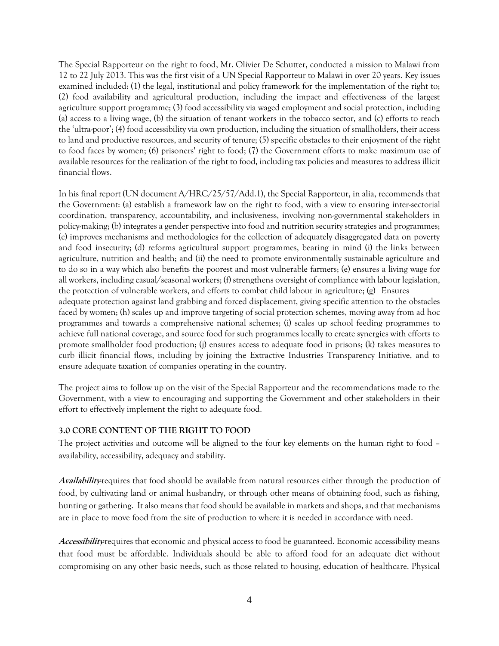The Special Rapporteur on the right to food, Mr. Olivier De Schutter, conducted a mission to Malawi from 12 to 22 July 2013. This was the first visit of a UN Special Rapporteur to Malawi in over 20 years. Key issues examined included: (1) the legal, institutional and policy framework for the implementation of the right to; (2) food availability and agricultural production, including the impact and effectiveness of the largest agriculture support programme; (3) food accessibility via waged employment and social protection, including (a) access to a living wage, (b) the situation of tenant workers in the tobacco sector, and (c) efforts to reach the 'ultra-poor'; (4) food accessibility via own production, including the situation of smallholders, their access to land and productive resources, and security of tenure; (5) specific obstacles to their enjoyment of the right to food faces by women; (6) prisoners' right to food; (7) the Government efforts to make maximum use of available resources for the realization of the right to food, including tax policies and measures to address illicit financial flows.

In his final report (UN document A/HRC/25/57/Add.1), the Special Rapporteur, in alia, recommends that the Government: (a) establish a framework law on the right to food, with a view to ensuring inter-sectorial coordination, transparency, accountability, and inclusiveness, involving non-governmental stakeholders in policy-making; (b) integrates a gender perspective into food and nutrition security strategies and programmes; (c) improves mechanisms and methodologies for the collection of adequately disaggregated data on poverty and food insecurity; (d) reforms agricultural support programmes, bearing in mind (i) the links between agriculture, nutrition and health; and (ii) the need to promote environmentally sustainable agriculture and to do so in a way which also benefits the poorest and most vulnerable farmers; (e) ensures a living wage for all workers, including casual/seasonal workers; (f) strengthens oversight of compliance with labour legislation, the protection of vulnerable workers, and efforts to combat child labour in agriculture; (g) Ensures adequate protection against land grabbing and forced displacement, giving specific attention to the obstacles faced by women; (h) scales up and improve targeting of social protection schemes, moving away from ad hoc programmes and towards a comprehensive national schemes; (i) scales up school feeding programmes to achieve full national coverage, and source food for such programmes locally to create synergies with efforts to promote smallholder food production; (j) ensures access to adequate food in prisons; (k) takes measures to curb illicit financial flows, including by joining the Extractive Industries Transparency Initiative, and to ensure adequate taxation of companies operating in the country.

The project aims to follow up on the visit of the Special Rapporteur and the recommendations made to the Government, with a view to encouraging and supporting the Government and other stakeholders in their effort to effectively implement the right to adequate food.

## **3.0 CORE CONTENT OF THE RIGHT TO FOOD**

The project activities and outcome will be aligned to the four key elements on the human right to food – availability, accessibility, adequacy and stability.

Availability requires that food should be available from natural resources either through the production of food, by cultivating land or animal husbandry, or through other means of obtaining food, such as fishing, hunting or gathering. It also means that food should be available in markets and shops, and that mechanisms are in place to move food from the site of production to where it is needed in accordance with need.

Accessibility<sub>*requires* that economic and physical access to food be guaranteed. Economic accessibility means</sub> that food must be affordable. Individuals should be able to afford food for an adequate diet without compromising on any other basic needs, such as those related to housing, education of healthcare. Physical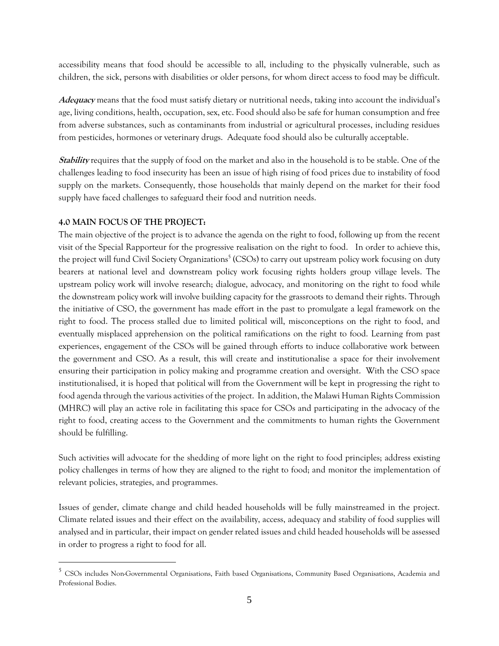accessibility means that food should be accessible to all, including to the physically vulnerable, such as children, the sick, persons with disabilities or older persons, for whom direct access to food may be difficult.

**Adequacy** means that the food must satisfy dietary or nutritional needs, taking into account the individual's age, living conditions, health, occupation, sex, etc. Food should also be safe for human consumption and free from adverse substances, such as contaminants from industrial or agricultural processes, including residues from pesticides, hormones or veterinary drugs. Adequate food should also be culturally acceptable.

**Stability** requires that the supply of food on the market and also in the household is to be stable. One of the challenges leading to food insecurity has been an issue of high rising of food prices due to instability of food supply on the markets. Consequently, those households that mainly depend on the market for their food supply have faced challenges to safeguard their food and nutrition needs.

## **4.0 MAIN FOCUS OF THE PROJECT:**

 $\overline{a}$ 

The main objective of the project is to advance the agenda on the right to food, following up from the recent visit of the Special Rapporteur for the progressive realisation on the right to food. In order to achieve this, the project will fund Civil Society Organizations<sup>5</sup> (CSOs) to carry out upstream policy work focusing on duty bearers at national level and downstream policy work focusing rights holders group village levels. The upstream policy work will involve research; dialogue, advocacy, and monitoring on the right to food while the downstream policy work will involve building capacity for the grassroots to demand their rights. Through the initiative of CSO, the government has made effort in the past to promulgate a legal framework on the right to food. The process stalled due to limited political will, misconceptions on the right to food, and eventually misplaced apprehension on the political ramifications on the right to food. Learning from past experiences, engagement of the CSOs will be gained through efforts to induce collaborative work between the government and CSO. As a result, this will create and institutionalise a space for their involvement ensuring their participation in policy making and programme creation and oversight. With the CSO space institutionalised, it is hoped that political will from the Government will be kept in progressing the right to food agenda through the various activities of the project. In addition, the Malawi Human Rights Commission (MHRC) will play an active role in facilitating this space for CSOs and participating in the advocacy of the right to food, creating access to the Government and the commitments to human rights the Government should be fulfilling.

Such activities will advocate for the shedding of more light on the right to food principles; address existing policy challenges in terms of how they are aligned to the right to food; and monitor the implementation of relevant policies, strategies, and programmes.

Issues of gender, climate change and child headed households will be fully mainstreamed in the project. Climate related issues and their effect on the availability, access, adequacy and stability of food supplies will analysed and in particular, their impact on gender related issues and child headed households will be assessed in order to progress a right to food for all.

<sup>&</sup>lt;sup>5</sup> CSOs includes Non-Governmental Organisations, Faith based Organisations, Community Based Organisations, Academia and Professional Bodies.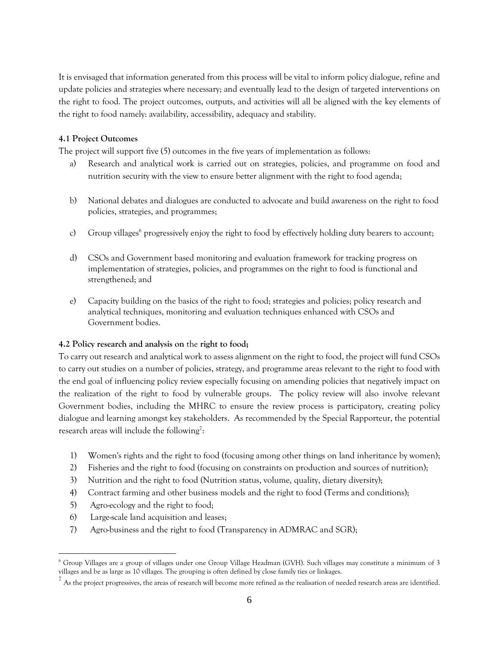It is envisaged that information generated from this process will be vital to inform policy dialogue, refine and update policies and strategies where necessary; and eventually lead to the design of targeted interventions on the right to food. The project outcomes, outputs, and activities will all be aligned with the key elements of the right to food namely: availability, accessibility, adequacy and stability.

## **4.1 Project Outcomes**

The project will support five (5) outcomes in the five years of implementation as follows:

- a) Research and analytical work is carried out on strategies, policies, and programme on food and nutrition security with the view to ensure better alignment with the right to food agenda;
- b) National debates and dialogues are conducted to advocate and build awareness on the right to food policies, strategies, and programmes;
- c) Group villages<sup>6</sup> progressively enjoy the right to food by effectively holding duty bearers to account;
- d) CSOs and Government based monitoring and evaluation framework for tracking progress on implementation of strategies, policies, and programmes on the right to food is functional and strengthened; and
- e) Capacity building on the basics of the right to food; strategies and policies; policy research and analytical techniques, monitoring and evaluation techniques enhanced with CSOs and Government bodies.

## **4.2 Policy research and analysis on** the **right to food;**

To carry out research and analytical work to assess alignment on the right to food, the project will fund CSOs to carry out studies on a number of policies, strategy, and programme areas relevant to the right to food with the end goal of influencing policy review especially focusing on amending policies that negatively impact on the realization of the right to food by vulnerable groups. The policy review will also involve relevant Government bodies, including the MHRC to ensure the review process is participatory, creating policy dialogue and learning amongst key stakeholders. As recommended by the Special Rapporteur, the potential research areas will include the following<sup>7</sup>:

- 1) Women's rights and the right to food (focusing among other things on land inheritance by women);
- 2) Fisheries and the right to food (focusing on constraints on production and sources of nutrition);
- 3) Nutrition and the right to food (Nutrition status, volume, quality, dietary diversity);
- 4) Contract farming and other business models and the right to food (Terms and conditions);
- 5) Agro-ecology and the right to food;

- 6) Large-scale land acquisition and leases;
- 7) Agro-business and the right to food (Transparency in ADMRAC and SGR);

 $^6$  Group Villages are a group of villages under one Group Village Headman (GVH). Such villages may constitute a minimum of 3 villages and be as large as 10 villages. The grouping is often defined by close family ties or linkages.

 $^7$  As the project progressives, the areas of research will become more refined as the realisation of needed research areas are identified.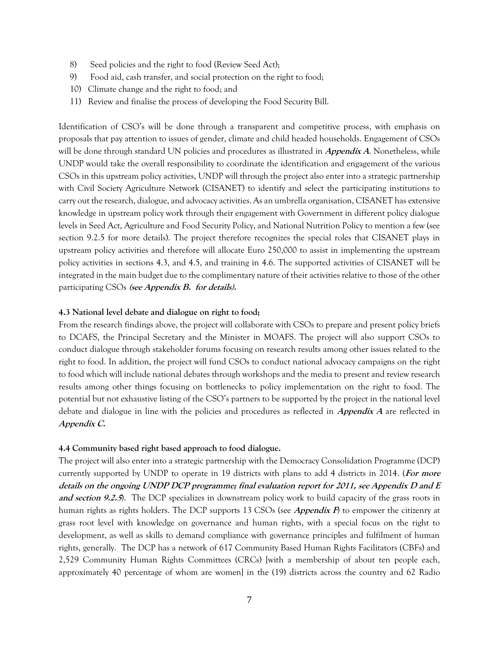- 8) Seed policies and the right to food (Review Seed Act);
- 9) Food aid, cash transfer, and social protection on the right to food;
- 10) Climate change and the right to food; and
- 11) Review and finalise the process of developing the Food Security Bill.

Identification of CSO's will be done through a transparent and competitive process, with emphasis on proposals that pay attention to issues of gender, climate and child headed households. Engagement of CSOs will be done through standard UN policies and procedures as illustrated in *Appendix A*. Nonetheless, while UNDP would take the overall responsibility to coordinate the identification and engagement of the various CSOs in this upstream policy activities, UNDP will through the project also enter into a strategic partnership with Civil Society Agriculture Network (CISANET) to identify and select the participating institutions to carry out the research, dialogue, and advocacy activities. As an umbrella organisation, CISANET has extensive knowledge in upstream policy work through their engagement with Government in different policy dialogue levels in Seed Act, Agriculture and Food Security Policy, and National Nutrition Policy to mention a few (see section 9.2.5 for more details). The project therefore recognizes the special roles that CISANET plays in upstream policy activities and therefore will allocate Euro 250,000 to assist in implementing the upstream policy activities in sections 4.3, and 4.5, and training in 4.6. The supported activities of CISANET will be integrated in the main budget due to the complimentary nature of their activities relative to those of the other participating CSOs **(see Appendix B. for details).**

### **4.3 National level debate and dialogue on right to food;**

From the research findings above, the project will collaborate with CSOs to prepare and present policy briefs to DCAFS, the Principal Secretary and the Minister in MOAFS. The project will also support CSOs to conduct dialogue through stakeholder forums focusing on research results among other issues related to the right to food. In addition, the project will fund CSOs to conduct national advocacy campaigns on the right to food which will include national debates through workshops and the media to present and review research results among other things focusing on bottlenecks to policy implementation on the right to food. The potential but not exhaustive listing of the CSO's partners to be supported by the project in the national level debate and dialogue in line with the policies and procedures as reflected in **Appendix A** are reflected in **Appendix C.**

#### **4.4 Community based right based approach to food dialogue.**

The project will also enter into a strategic partnership with the Democracy Consolidation Programme (DCP) currently supported by UNDP to operate in 19 districts with plans to add 4 districts in 2014. (**For more details on the ongoing UNDP DCP programme; final evaluation report for 2011, see Appendix D and E and section 9.2.5**). The DCP specializes in downstream policy work to build capacity of the grass roots in human rights as rights holders. The DCP supports 13 CSOs (see **Appendix F**) to empower the citizenry at grass root level with knowledge on governance and human rights, with a special focus on the right to development, as well as skills to demand compliance with governance principles and fulfilment of human rights, generally. The DCP has a network of 617 Community Based Human Rights Facilitators (CBFs) and 2,529 Community Human Rights Committees (CRCs) [with a membership of about ten people each, approximately 40 percentage of whom are women] in the (19) districts across the country and 62 Radio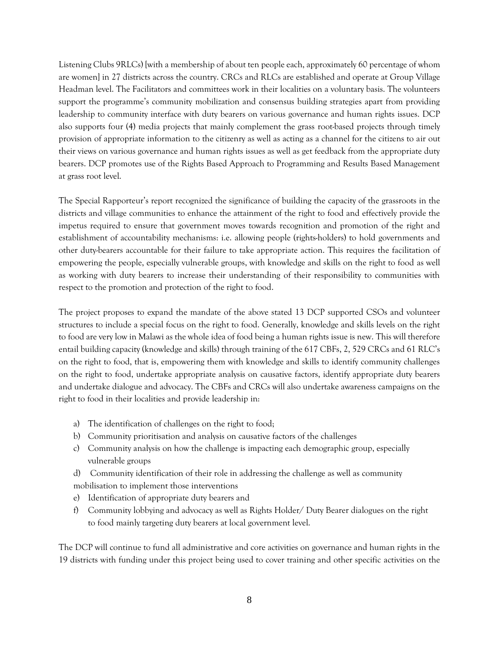Listening Clubs 9RLCs) [with a membership of about ten people each, approximately 60 percentage of whom are women] in 27 districts across the country. CRCs and RLCs are established and operate at Group Village Headman level. The Facilitators and committees work in their localities on a voluntary basis. The volunteers support the programme's community mobilization and consensus building strategies apart from providing leadership to community interface with duty bearers on various governance and human rights issues. DCP also supports four (4) media projects that mainly complement the grass root-based projects through timely provision of appropriate information to the citizenry as well as acting as a channel for the citizens to air out their views on various governance and human rights issues as well as get feedback from the appropriate duty bearers. DCP promotes use of the Rights Based Approach to Programming and Results Based Management at grass root level.

The Special Rapporteur's report recognized the significance of building the capacity of the grassroots in the districts and village communities to enhance the attainment of the right to food and effectively provide the impetus required to ensure that government moves towards recognition and promotion of the right and establishment of accountability mechanisms: i.e. allowing people (rights-holders) to hold governments and other duty-bearers accountable for their failure to take appropriate action. This requires the facilitation of empowering the people, especially vulnerable groups, with knowledge and skills on the right to food as well as working with duty bearers to increase their understanding of their responsibility to communities with respect to the promotion and protection of the right to food.

The project proposes to expand the mandate of the above stated 13 DCP supported CSOs and volunteer structures to include a special focus on the right to food. Generally, knowledge and skills levels on the right to food are very low in Malawi as the whole idea of food being a human rights issue is new. This will therefore entail building capacity (knowledge and skills) through training of the 617 CBFs, 2, 529 CRCs and 61 RLC's on the right to food, that is, empowering them with knowledge and skills to identify community challenges on the right to food, undertake appropriate analysis on causative factors, identify appropriate duty bearers and undertake dialogue and advocacy. The CBFs and CRCs will also undertake awareness campaigns on the right to food in their localities and provide leadership in:

- a) The identification of challenges on the right to food;
- b) Community prioritisation and analysis on causative factors of the challenges
- c) Community analysis on how the challenge is impacting each demographic group, especially vulnerable groups
- d) Community identification of their role in addressing the challenge as well as community mobilisation to implement those interventions
- e) Identification of appropriate duty bearers and
- f) Community lobbying and advocacy as well as Rights Holder/ Duty Bearer dialogues on the right to food mainly targeting duty bearers at local government level.

The DCP will continue to fund all administrative and core activities on governance and human rights in the 19 districts with funding under this project being used to cover training and other specific activities on the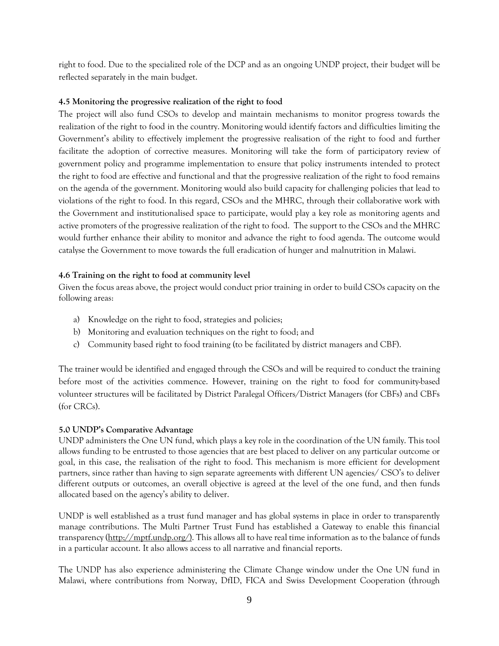right to food. Due to the specialized role of the DCP and as an ongoing UNDP project, their budget will be reflected separately in the main budget.

## **4.5 Monitoring the progressive realization of the right to food**

The project will also fund CSOs to develop and maintain mechanisms to monitor progress towards the realization of the right to food in the country. Monitoring would identify factors and difficulties limiting the Government's ability to effectively implement the progressive realisation of the right to food and further facilitate the adoption of corrective measures. Monitoring will take the form of participatory review of government policy and programme implementation to ensure that policy instruments intended to protect the right to food are effective and functional and that the progressive realization of the right to food remains on the agenda of the government. Monitoring would also build capacity for challenging policies that lead to violations of the right to food. In this regard, CSOs and the MHRC, through their collaborative work with the Government and institutionalised space to participate, would play a key role as monitoring agents and active promoters of the progressive realization of the right to food. The support to the CSOs and the MHRC would further enhance their ability to monitor and advance the right to food agenda. The outcome would catalyse the Government to move towards the full eradication of hunger and malnutrition in Malawi.

## **4.6 Training on the right to food at community level**

Given the focus areas above, the project would conduct prior training in order to build CSOs capacity on the following areas:

- a) Knowledge on the right to food, strategies and policies;
- b) Monitoring and evaluation techniques on the right to food; and
- c) Community based right to food training (to be facilitated by district managers and CBF).

The trainer would be identified and engaged through the CSOs and will be required to conduct the training before most of the activities commence. However, training on the right to food for community-based volunteer structures will be facilitated by District Paralegal Officers/District Managers (for CBFs) and CBFs (for CRCs).

## **5.0 UNDP's Comparative Advantage**

UNDP administers the One UN fund, which plays a key role in the coordination of the UN family. This tool allows funding to be entrusted to those agencies that are best placed to deliver on any particular outcome or goal, in this case, the realisation of the right to food. This mechanism is more efficient for development partners, since rather than having to sign separate agreements with different UN agencies/ CSO's to deliver different outputs or outcomes, an overall objective is agreed at the level of the one fund, and then funds allocated based on the agency's ability to deliver.

UNDP is well established as a trust fund manager and has global systems in place in order to transparently manage contributions. The Multi Partner Trust Fund has established a Gateway to enable this financial transparency  $(\frac{http://mpt.t.undp.org/}{http://mpt.t.undp.org/})$ . This allows all to have real time information as to the balance of funds in a particular account. It also allows access to all narrative and financial reports.

The UNDP has also experience administering the Climate Change window under the One UN fund in Malawi, where contributions from Norway, DfID, FICA and Swiss Development Cooperation (through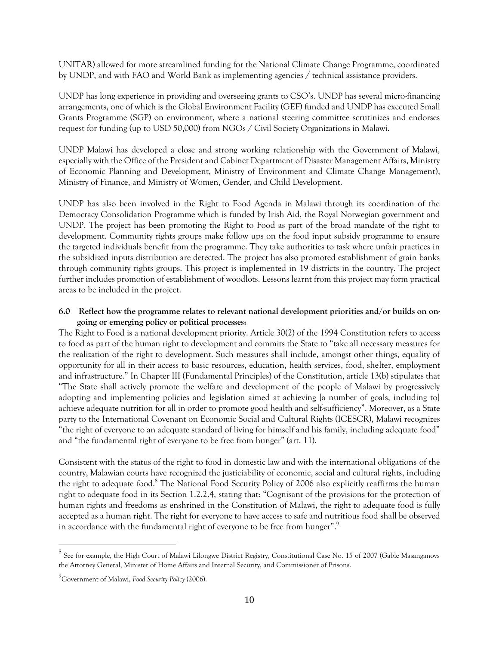UNITAR) allowed for more streamlined funding for the National Climate Change Programme, coordinated by UNDP, and with FAO and World Bank as implementing agencies / technical assistance providers.

UNDP has long experience in providing and overseeing grants to CSO's. UNDP has several micro-financing arrangements, one of which is the Global Environment Facility (GEF) funded and UNDP has executed Small Grants Programme (SGP) on environment, where a national steering committee scrutinizes and endorses request for funding (up to USD 50,000) from NGOs / Civil Society Organizations in Malawi.

UNDP Malawi has developed a close and strong working relationship with the Government of Malawi, especially with the Office of the President and Cabinet Department of Disaster Management Affairs, Ministry of Economic Planning and Development, Ministry of Environment and Climate Change Management), Ministry of Finance, and Ministry of Women, Gender, and Child Development.

UNDP has also been involved in the Right to Food Agenda in Malawi through its coordination of the Democracy Consolidation Programme which is funded by Irish Aid, the Royal Norwegian government and UNDP. The project has been promoting the Right to Food as part of the broad mandate of the right to development. Community rights groups make follow ups on the food input subsidy programme to ensure the targeted individuals benefit from the programme. They take authorities to task where unfair practices in the subsidized inputs distribution are detected. The project has also promoted establishment of grain banks through community rights groups. This project is implemented in 19 districts in the country. The project further includes promotion of establishment of woodlots. Lessons learnt from this project may form practical areas to be included in the project.

## **6.0 Reflect how the programme relates to relevant national development priorities and/or builds on ongoing or emerging policy or political processes:**

The Right to Food is a national development priority. Article 30(2) of the 1994 Constitution refers to access to food as part of the human right to development and commits the State to "take all necessary measures for the realization of the right to development. Such measures shall include, amongst other things, equality of opportunity for all in their access to basic resources, education, health services, food, shelter, employment and infrastructure." In Chapter III (Fundamental Principles) of the Constitution, article 13(b) stipulates that "The State shall actively promote the welfare and development of the people of Malawi by progressively adopting and implementing policies and legislation aimed at achieving [a number of goals, including to] achieve adequate nutrition for all in order to promote good health and self-sufficiency". Moreover, as a State party to the International Covenant on Economic Social and Cultural Rights (ICESCR), Malawi recognizes "the right of everyone to an adequate standard of living for himself and his family, including adequate food" and "the fundamental right of everyone to be free from hunger" (art. 11).

Consistent with the status of the right to food in domestic law and with the international obligations of the country, Malawian courts have recognized the justiciability of economic, social and cultural rights, including the right to adequate food.<sup>8</sup> The National Food Security Policy of 2006 also explicitly reaffirms the human right to adequate food in its Section 1.2.2.4, stating that: "Cognisant of the provisions for the protection of human rights and freedoms as enshrined in the Constitution of Malawi, the right to adequate food is fully accepted as a human right. The right for everyone to have access to safe and nutritious food shall be observed in accordance with the fundamental right of everyone to be free from hunger".<sup>9</sup>

 $^8$  See for example, the High Court of Malawi Lilongwe District Registry, Constitutional Case No. 15 of 2007 (Gable Masanganovs the Attorney General, Minister of Home Affairs and Internal Security, and Commissioner of Prisons.

<sup>9</sup>Government of Malawi, *Food Security Policy* (2006).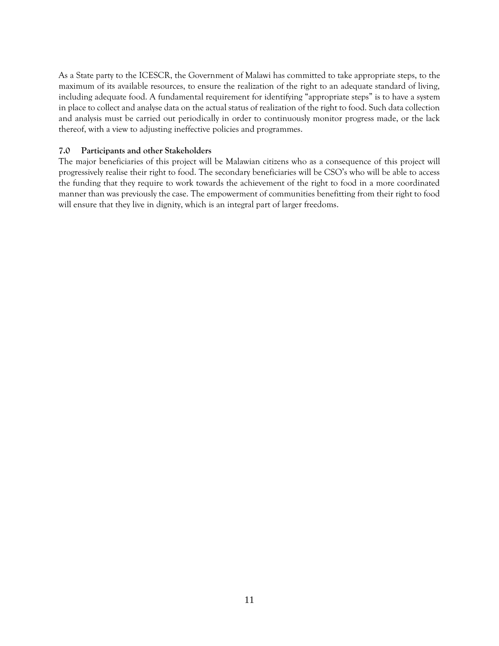As a State party to the ICESCR, the Government of Malawi has committed to take appropriate steps, to the maximum of its available resources, to ensure the realization of the right to an adequate standard of living, including adequate food. A fundamental requirement for identifying "appropriate steps" is to have a system in place to collect and analyse data on the actual status of realization of the right to food. Such data collection and analysis must be carried out periodically in order to continuously monitor progress made, or the lack thereof, with a view to adjusting ineffective policies and programmes.

## **7.0 Participants and other Stakeholders**

The major beneficiaries of this project will be Malawian citizens who as a consequence of this project will progressively realise their right to food. The secondary beneficiaries will be CSO's who will be able to access the funding that they require to work towards the achievement of the right to food in a more coordinated manner than was previously the case. The empowerment of communities benefitting from their right to food will ensure that they live in dignity, which is an integral part of larger freedoms.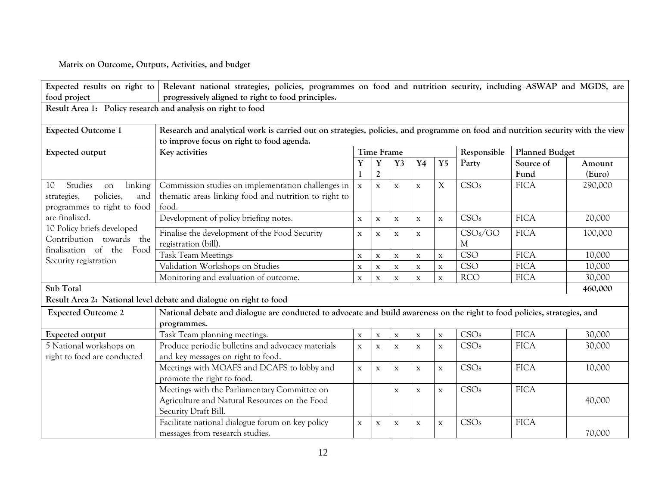**Matrix on Outcome, Outputs, Activities, and budget** 

| Expected results on right to                                                                                                  | Relevant national strategies, policies, programmes on food and nutrition security, including ASWAP and MGDS, are                |                            |                       |              |             |             |             |                       |                  |
|-------------------------------------------------------------------------------------------------------------------------------|---------------------------------------------------------------------------------------------------------------------------------|----------------------------|-----------------------|--------------|-------------|-------------|-------------|-----------------------|------------------|
| food project                                                                                                                  | progressively aligned to right to food principles.                                                                              |                            |                       |              |             |             |             |                       |                  |
| Result Area 1: Policy research and analysis on right to food                                                                  |                                                                                                                                 |                            |                       |              |             |             |             |                       |                  |
|                                                                                                                               |                                                                                                                                 |                            |                       |              |             |             |             |                       |                  |
| <b>Expected Outcome 1</b>                                                                                                     | Research and analytical work is carried out on strategies, policies, and programme on food and nutrition security with the view |                            |                       |              |             |             |             |                       |                  |
|                                                                                                                               | to improve focus on right to food agenda.                                                                                       |                            |                       |              |             |             |             |                       |                  |
| Expected output                                                                                                               | Key activities                                                                                                                  | <b>Time Frame</b><br>$Y$ 5 |                       |              |             |             | Responsible | <b>Planned Budget</b> |                  |
|                                                                                                                               |                                                                                                                                 | Y                          | Y<br>$\boldsymbol{2}$ | Y3           | Y4          |             | Party       | Source of<br>Fund     | Amount<br>(Euro) |
| 10<br>Studies<br>linking<br>on                                                                                                | Commission studies on implementation challenges in                                                                              | $\mathbf X$                | $\mathbf X$           | $\mathbf X$  | $\mathbf X$ | X           | CSOs        | <b>FICA</b>           | 290,000          |
| policies,<br>and<br>strategies,                                                                                               | thematic areas linking food and nutrition to right to                                                                           |                            |                       |              |             |             |             |                       |                  |
| programmes to right to food                                                                                                   | food.                                                                                                                           |                            |                       |              |             |             |             |                       |                  |
| are finalized.<br>10 Policy briefs developed<br>Contribution towards the<br>finalisation of the Food<br>Security registration | Development of policy briefing notes.                                                                                           | $\mathbf X$                | $\mathbf X$           | $\mathbf X$  | $\mathbf X$ | $\mathbf X$ | CSOs        | <b>FICA</b>           | 20,000           |
|                                                                                                                               | Finalise the development of the Food Security                                                                                   | $\mathbf X$                | $\mathbf X$           | $\mathbf{x}$ | $\mathbf X$ |             | CSOs/GO     | <b>FICA</b>           | 100,000          |
|                                                                                                                               | registration (bill).                                                                                                            |                            |                       |              |             |             | М           |                       |                  |
|                                                                                                                               | <b>Task Team Meetings</b>                                                                                                       | $\mathbf X$                | $\mathbf X$           | $\mathbf X$  | X           | $\mathbf X$ | CSO         | <b>FICA</b>           | 10,000           |
|                                                                                                                               | Validation Workshops on Studies                                                                                                 | $\mathbf X$                | $\mathbf X$           | $\mathbf X$  | $\mathbf X$ | $\mathbf X$ | <b>CSO</b>  | <b>FICA</b>           | 10,000           |
|                                                                                                                               | Monitoring and evaluation of outcome.                                                                                           | $\mathbf X$                | $\mathbf{x}$          | $\mathbf x$  | $\mathbf X$ | $\mathbf x$ | <b>RCO</b>  | <b>FICA</b>           | 30,000           |
| Sub Total                                                                                                                     |                                                                                                                                 |                            |                       |              |             |             |             |                       | 460,000          |
| Result Area 2: National level debate and dialogue on right to food                                                            |                                                                                                                                 |                            |                       |              |             |             |             |                       |                  |
| <b>Expected Outcome 2</b>                                                                                                     | National debate and dialogue are conducted to advocate and build awareness on the right to food policies, strategies, and       |                            |                       |              |             |             |             |                       |                  |
|                                                                                                                               | programmes.                                                                                                                     |                            |                       |              |             |             |             |                       |                  |
| Expected output                                                                                                               | Task Team planning meetings.                                                                                                    | $\mathbf X$                | $\mathbf X$           | $\mathbf X$  | $\mathbf X$ | $\mathbf X$ | CSOs        | <b>FICA</b>           | 30,000           |
| 5 National workshops on                                                                                                       | Produce periodic bulletins and advocacy materials                                                                               | $\mathbf X$                | $\mathbf X$           | $\mathbf X$  | $\mathbf X$ | $\mathbf X$ | CSOs        | <b>FICA</b>           | 30,000           |
| right to food are conducted                                                                                                   | and key messages on right to food.                                                                                              |                            |                       |              |             |             |             |                       |                  |
|                                                                                                                               | Meetings with MOAFS and DCAFS to lobby and                                                                                      | $\mathbf X$                | $\mathbf x$           | $\mathbf{X}$ | $\mathbf X$ | $\mathbf X$ | CSOs        | <b>FICA</b>           | 10,000           |
|                                                                                                                               | promote the right to food.                                                                                                      |                            |                       |              |             |             |             |                       |                  |
|                                                                                                                               | Meetings with the Parliamentary Committee on                                                                                    |                            |                       | X            | $\mathbf X$ | $\mathbf X$ | CSOs        | <b>FICA</b>           |                  |
|                                                                                                                               | Agriculture and Natural Resources on the Food                                                                                   |                            |                       |              |             |             |             |                       | 40,000           |
|                                                                                                                               | Security Draft Bill.                                                                                                            |                            |                       |              |             |             |             |                       |                  |
|                                                                                                                               | Facilitate national dialogue forum on key policy                                                                                | $\mathbf X$                | $\mathbf X$           | $\mathbf X$  | $\mathbf X$ | $\mathbf X$ | CSOs        | <b>FICA</b>           |                  |
|                                                                                                                               | messages from research studies.                                                                                                 |                            |                       |              |             |             |             |                       | 70,000           |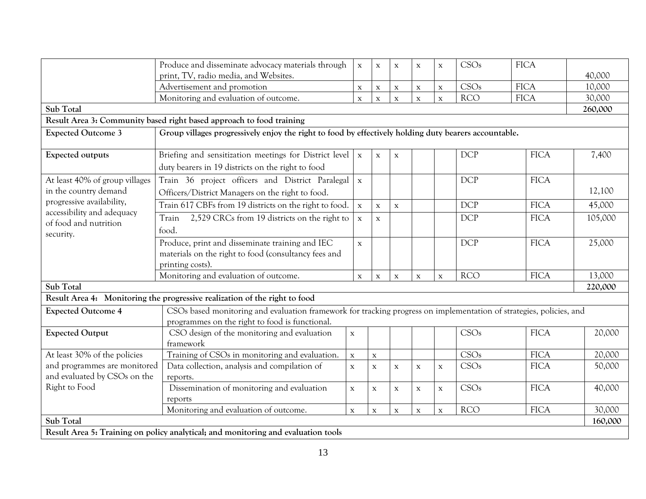|                                                                                                                                    | Produce and disseminate advocacy materials through                                                                  | $\mathbf X$  | $\mathbf X$ | $\mathbf X$ | $\mathbf x$  | $\mathbf X$  | CSOs       | <b>FICA</b> |         |
|------------------------------------------------------------------------------------------------------------------------------------|---------------------------------------------------------------------------------------------------------------------|--------------|-------------|-------------|--------------|--------------|------------|-------------|---------|
|                                                                                                                                    | print, TV, radio media, and Websites.                                                                               |              |             |             |              |              |            |             | 40,000  |
|                                                                                                                                    | Advertisement and promotion                                                                                         | $\mathbf X$  | $\mathbf X$ | $\mathbf X$ | $\mathbf x$  | $\mathbf X$  | CSOs       | <b>FICA</b> | 10,000  |
|                                                                                                                                    | Monitoring and evaluation of outcome.                                                                               | $\mathbf X$  | $\mathbf X$ | $\mathbf X$ | $\mathbf x$  | $\mathbf X$  | <b>RCO</b> | <b>FICA</b> | 30,000  |
| Sub Total                                                                                                                          |                                                                                                                     |              |             |             |              |              |            |             | 260,000 |
| Result Area 3: Community based right based approach to food training                                                               |                                                                                                                     |              |             |             |              |              |            |             |         |
| Group villages progressively enjoy the right to food by effectively holding duty bearers accountable.<br><b>Expected Outcome 3</b> |                                                                                                                     |              |             |             |              |              |            |             |         |
|                                                                                                                                    |                                                                                                                     |              |             |             |              |              |            |             |         |
| <b>Expected outputs</b>                                                                                                            | Briefing and sensitization meetings for District level                                                              | $\mathbf X$  | $\mathbf X$ | $\mathbf X$ |              |              | <b>DCP</b> | <b>FICA</b> | 7,400   |
|                                                                                                                                    | duty bearers in 19 districts on the right to food                                                                   |              |             |             |              |              |            |             |         |
| At least 40% of group villages                                                                                                     | Train 36 project officers and District Paralegal                                                                    | $\mathbf X$  |             |             |              |              | <b>DCP</b> | <b>FICA</b> |         |
| in the country demand                                                                                                              | Officers/District Managers on the right to food.                                                                    |              |             |             |              |              |            |             | 12,100  |
| progressive availability,                                                                                                          | Train 617 CBFs from 19 districts on the right to food.                                                              | $\mathbf X$  | $\mathbf X$ | $\mathbf X$ |              |              | <b>DCP</b> | <b>FICA</b> | 45,000  |
| accessibility and adequacy                                                                                                         | 2,529 CRCs from 19 districts on the right to<br>Train                                                               | $\mathbf X$  | $\mathbf X$ |             |              |              | <b>DCP</b> | <b>FICA</b> | 105,000 |
| of food and nutrition                                                                                                              | food.                                                                                                               |              |             |             |              |              |            |             |         |
| security.                                                                                                                          | Produce, print and disseminate training and IEC                                                                     | $\mathbf X$  |             |             |              |              | <b>DCP</b> | <b>FICA</b> | 25,000  |
|                                                                                                                                    | materials on the right to food (consultancy fees and                                                                |              |             |             |              |              |            |             |         |
|                                                                                                                                    | printing costs).                                                                                                    |              |             |             |              |              |            |             |         |
|                                                                                                                                    | Monitoring and evaluation of outcome.                                                                               | $\mathbf{X}$ | $\mathbf x$ | $\mathbf x$ | $\mathbf x$  | $\mathbf{X}$ | <b>RCO</b> | <b>FICA</b> | 13,000  |
| Sub Total                                                                                                                          |                                                                                                                     |              |             |             |              |              |            | 220,000     |         |
| Result Area 4: Monitoring the progressive realization of the right to food                                                         |                                                                                                                     |              |             |             |              |              |            |             |         |
| <b>Expected Outcome 4</b>                                                                                                          | CSOs based monitoring and evaluation framework for tracking progress on implementation of strategies, policies, and |              |             |             |              |              |            |             |         |
|                                                                                                                                    | programmes on the right to food is functional.                                                                      |              |             |             |              |              |            |             |         |
| <b>Expected Output</b>                                                                                                             | CSO design of the monitoring and evaluation                                                                         | $\mathbf X$  |             |             |              |              | CSOs       | <b>FICA</b> | 20,000  |
|                                                                                                                                    | framework                                                                                                           |              |             |             |              |              |            |             |         |
| At least 30% of the policies                                                                                                       | Training of CSOs in monitoring and evaluation.                                                                      | $\mathbf X$  | $\mathbf X$ |             |              |              | CSOs       | <b>FICA</b> | 20,000  |
| and programmes are monitored                                                                                                       | Data collection, analysis and compilation of                                                                        | $\mathbf X$  | $\mathbf X$ | $\mathbf X$ | $\mathbf X$  | $\mathbf X$  | CSOs       | <b>FICA</b> | 50,000  |
| and evaluated by CSOs on the                                                                                                       | reports.                                                                                                            |              |             |             |              |              |            |             |         |
| Right to Food                                                                                                                      | Dissemination of monitoring and evaluation                                                                          | $\mathbf{x}$ | $\mathbf X$ | $\mathbf X$ | $\mathbf{X}$ | $\mathbf X$  | CSOs       | <b>FICA</b> | 40,000  |
|                                                                                                                                    | reports                                                                                                             |              |             |             |              |              |            |             |         |
|                                                                                                                                    | Monitoring and evaluation of outcome.                                                                               | $\mathbf X$  | $\mathbf X$ | $\mathbf X$ | $\mathbf x$  | $\mathbf X$  | <b>RCO</b> | <b>FICA</b> | 30,000  |
| Sub Total                                                                                                                          |                                                                                                                     |              |             |             |              |              | 160,000    |             |         |
| Result Area 5: Training on policy analytical; and monitoring and evaluation tools                                                  |                                                                                                                     |              |             |             |              |              |            |             |         |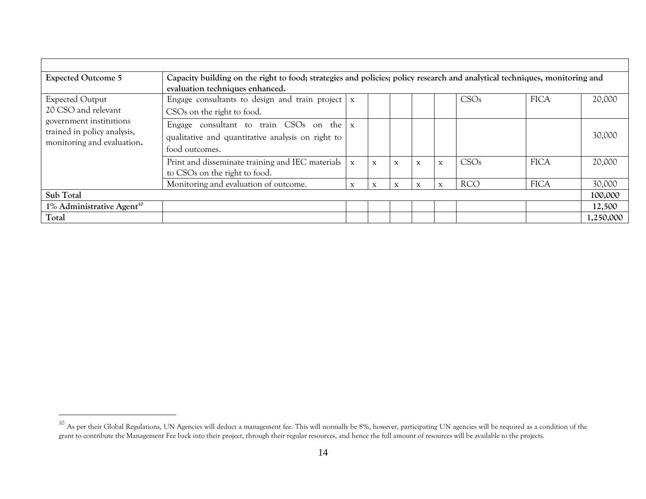| <b>Expected Outcome 5</b>                                                                                                             | Capacity building on the right to food; strategies and policies; policy research and analytical techniques, monitoring and    |              |             |             |             |              |            |             |           |  |
|---------------------------------------------------------------------------------------------------------------------------------------|-------------------------------------------------------------------------------------------------------------------------------|--------------|-------------|-------------|-------------|--------------|------------|-------------|-----------|--|
| <b>Expected Output</b><br>20 CSO and relevant<br>government institutions<br>trained in policy analysis,<br>monitoring and evaluation. | evaluation techniques enhanced.<br>Engage consultants to design and train project<br>CSO <sub>s</sub> on the right to food.   | $\mathbf{X}$ |             |             |             |              | CSOs       | <b>FICA</b> | 20,000    |  |
|                                                                                                                                       | Engage consultant to train CSOs on the $\vert x \vert$<br>qualitative and quantitative analysis on right to<br>food outcomes. |              |             |             |             |              |            |             | 30,000    |  |
|                                                                                                                                       | Print and disseminate training and IEC materials<br>to CSOs on the right to food.                                             | $\mathbf{X}$ | $\mathbf x$ | $\mathbf x$ | $\mathbf X$ | $\mathbf{X}$ | CSOs       | <b>FICA</b> | 20,000    |  |
|                                                                                                                                       | Monitoring and evaluation of outcome.                                                                                         | $\mathbf x$  | X           | $\mathbf x$ | X           | X            | <b>RCO</b> | <b>FICA</b> | 30,000    |  |
| Sub Total                                                                                                                             |                                                                                                                               |              |             |             |             |              |            | 100,000     |           |  |
| $1\%$ Administrative Agent <sup>10</sup>                                                                                              |                                                                                                                               |              |             |             |             |              |            |             | 12,500    |  |
| Total                                                                                                                                 |                                                                                                                               |              |             |             |             |              |            |             | 1,250,000 |  |

 $^{10}$  As per their Global Regulations, UN Agencies will deduct a management fee. This will normally be 8%, however, participating UN agencies will be required as a condition of the grant to contribute the Management Fee back into their project, through their regular resources, and hence the full amount of resources will be available to the projects.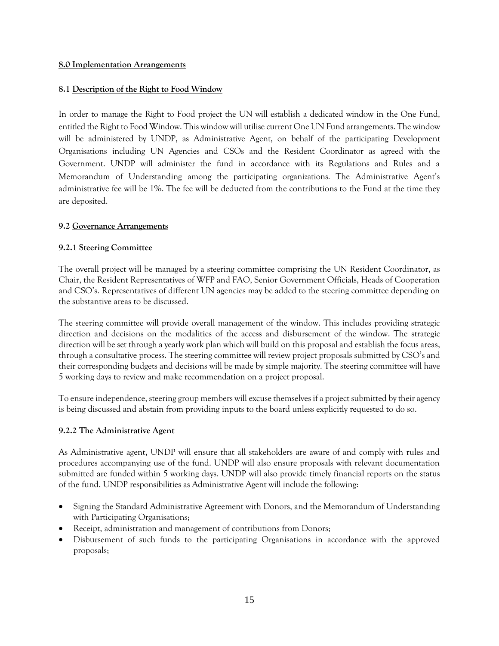### **8.0 Implementation Arrangements**

## **8.1 Description of the Right to Food Window**

In order to manage the Right to Food project the UN will establish a dedicated window in the One Fund, entitled the Right to Food Window. This window will utilise current One UN Fund arrangements. The window will be administered by UNDP, as Administrative Agent, on behalf of the participating Development Organisations including UN Agencies and CSOs and the Resident Coordinator as agreed with the Government. UNDP will administer the fund in accordance with its Regulations and Rules and a Memorandum of Understanding among the participating organizations*.* The Administrative Agent's administrative fee will be 1%. The fee will be deducted from the contributions to the Fund at the time they are deposited.

## **9.2 Governance Arrangements**

## **9.2.1 Steering Committee**

The overall project will be managed by a steering committee comprising the UN Resident Coordinator, as Chair, the Resident Representatives of WFP and FAO, Senior Government Officials, Heads of Cooperation and CSO's. Representatives of different UN agencies may be added to the steering committee depending on the substantive areas to be discussed.

The steering committee will provide overall management of the window. This includes providing strategic direction and decisions on the modalities of the access and disbursement of the window. The strategic direction will be set through a yearly work plan which will build on this proposal and establish the focus areas, through a consultative process. The steering committee will review project proposals submitted by CSO's and their corresponding budgets and decisions will be made by simple majority. The steering committee will have 5 working days to review and make recommendation on a project proposal.

To ensure independence, steering group members will excuse themselves if a project submitted by their agency is being discussed and abstain from providing inputs to the board unless explicitly requested to do so.

## **9.2.2 The Administrative Agent**

As Administrative agent, UNDP will ensure that all stakeholders are aware of and comply with rules and procedures accompanying use of the fund. UNDP will also ensure proposals with relevant documentation submitted are funded within 5 working days. UNDP will also provide timely financial reports on the status of the fund. UNDP responsibilities as Administrative Agent will include the following:

- Signing the Standard Administrative Agreement with Donors, and the Memorandum of Understanding with Participating Organisations;
- Receipt, administration and management of contributions from Donors;
- Disbursement of such funds to the participating Organisations in accordance with the approved proposals;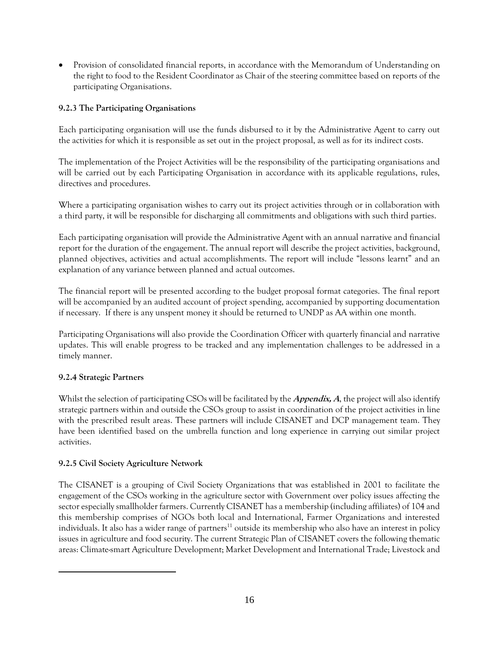• Provision of consolidated financial reports, in accordance with the Memorandum of Understanding on the right to food to the Resident Coordinator as Chair of the steering committee based on reports of the participating Organisations.

# **9.2.3 The Participating Organisations**

Each participating organisation will use the funds disbursed to it by the Administrative Agent to carry out the activities for which it is responsible as set out in the project proposal, as well as for its indirect costs.

The implementation of the Project Activities will be the responsibility of the participating organisations and will be carried out by each Participating Organisation in accordance with its applicable regulations, rules, directives and procedures.

Where a participating organisation wishes to carry out its project activities through or in collaboration with a third party, it will be responsible for discharging all commitments and obligations with such third parties.

Each participating organisation will provide the Administrative Agent with an annual narrative and financial report for the duration of the engagement. The annual report will describe the project activities, background, planned objectives, activities and actual accomplishments. The report will include "lessons learnt" and an explanation of any variance between planned and actual outcomes.

The financial report will be presented according to the budget proposal format categories. The final report will be accompanied by an audited account of project spending, accompanied by supporting documentation if necessary. If there is any unspent money it should be returned to UNDP as AA within one month.

Participating Organisations will also provide the Coordination Officer with quarterly financial and narrative updates. This will enable progress to be tracked and any implementation challenges to be addressed in a timely manner.

# **9.2.4 Strategic Partners**

 $\overline{a}$ 

Whilst the selection of participating CSOs will be facilitated by the **Appendix, A**, the project will also identify strategic partners within and outside the CSOs group to assist in coordination of the project activities in line with the prescribed result areas. These partners will include CISANET and DCP management team. They have been identified based on the umbrella function and long experience in carrying out similar project activities.

# **9.2.5 Civil Society Agriculture Network**

The CISANET is a grouping of Civil Society Organizations that was established in 2001 to facilitate the engagement of the CSOs working in the agriculture sector with Government over policy issues affecting the sector especially smallholder farmers. Currently CISANET has a membership (including affiliates) of 104 and this membership comprises of NGOs both local and International, Farmer Organizations and interested individuals. It also has a wider range of partners<sup>11</sup> outside its membership who also have an interest in policy issues in agriculture and food security. The current Strategic Plan of CISANET covers the following thematic areas: Climate-smart Agriculture Development; Market Development and International Trade; Livestock and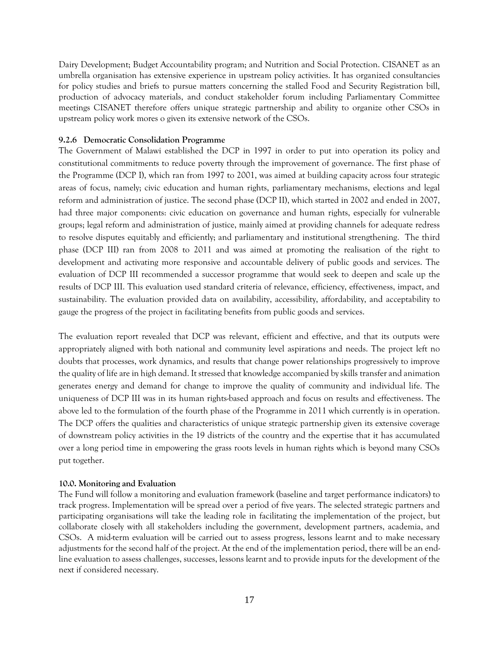Dairy Development; Budget Accountability program; and Nutrition and Social Protection. CISANET as an umbrella organisation has extensive experience in upstream policy activities. It has organized consultancies for policy studies and briefs to pursue matters concerning the stalled Food and Security Registration bill, production of advocacy materials, and conduct stakeholder forum including Parliamentary Committee meetings CISANET therefore offers unique strategic partnership and ability to organize other CSOs in upstream policy work mores o given its extensive network of the CSOs.

#### **9.2.6 Democratic Consolidation Programme**

The Government of Malawi established the DCP in 1997 in order to put into operation its policy and constitutional commitments to reduce poverty through the improvement of governance. The first phase of the Programme (DCP I), which ran from 1997 to 2001, was aimed at building capacity across four strategic areas of focus, namely; civic education and human rights, parliamentary mechanisms, elections and legal reform and administration of justice. The second phase (DCP II), which started in 2002 and ended in 2007, had three major components: civic education on governance and human rights, especially for vulnerable groups; legal reform and administration of justice, mainly aimed at providing channels for adequate redress to resolve disputes equitably and efficiently; and parliamentary and institutional strengthening. The third phase (DCP III) ran from 2008 to 2011 and was aimed at promoting the realisation of the right to development and activating more responsive and accountable delivery of public goods and services. The evaluation of DCP III recommended a successor programme that would seek to deepen and scale up the results of DCP III. This evaluation used standard criteria of relevance, efficiency, effectiveness, impact, and sustainability. The evaluation provided data on availability, accessibility, affordability, and acceptability to gauge the progress of the project in facilitating benefits from public goods and services.

The evaluation report revealed that DCP was relevant, efficient and effective, and that its outputs were appropriately aligned with both national and community level aspirations and needs. The project left no doubts that processes, work dynamics, and results that change power relationships progressively to improve the quality of life are in high demand. It stressed that knowledge accompanied by skills transfer and animation generates energy and demand for change to improve the quality of community and individual life. The uniqueness of DCP III was in its human rights-based approach and focus on results and effectiveness. The above led to the formulation of the fourth phase of the Programme in 2011 which currently is in operation. The DCP offers the qualities and characteristics of unique strategic partnership given its extensive coverage of downstream policy activities in the 19 districts of the country and the expertise that it has accumulated over a long period time in empowering the grass roots levels in human rights which is beyond many CSOs put together.

#### **10.0. Monitoring and Evaluation**

The Fund will follow a monitoring and evaluation framework (baseline and target performance indicators) to track progress. Implementation will be spread over a period of five years. The selected strategic partners and participating organisations will take the leading role in facilitating the implementation of the project, but collaborate closely with all stakeholders including the government, development partners, academia, and CSOs. A mid-term evaluation will be carried out to assess progress, lessons learnt and to make necessary adjustments for the second half of the project. At the end of the implementation period, there will be an endline evaluation to assess challenges, successes, lessons learnt and to provide inputs for the development of the next if considered necessary.